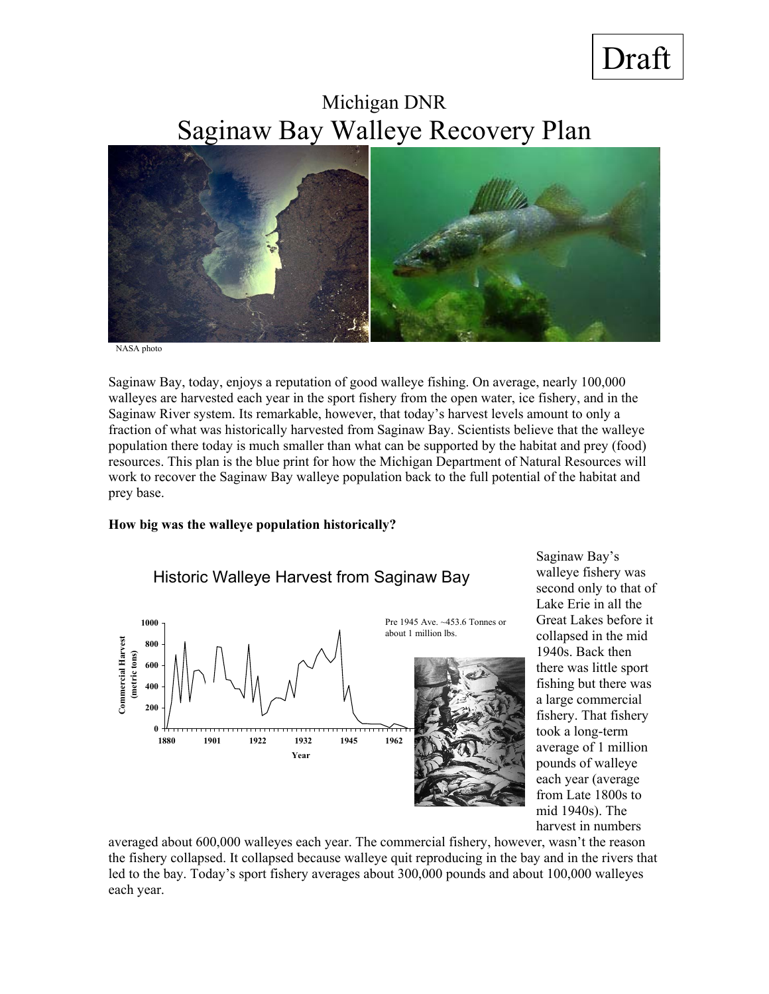# Draft

Michigan DNR Saginaw Bay Walleye Recovery Plan



NASA photo

Saginaw Bay, today, enjoys a reputation of good walleye fishing. On average, nearly 100,000 walleyes are harvested each year in the sport fishery from the open water, ice fishery, and in the Saginaw River system. Its remarkable, however, that today's harvest levels amount to only a fraction of what was historically harvested from Saginaw Bay. Scientists believe that the walleye population there today is much smaller than what can be supported by the habitat and prey (food) resources. This plan is the blue print for how the Michigan Department of Natural Resources will work to recover the Saginaw Bay walleye population back to the full potential of the habitat and prey base.

#### **How big was the walleye population historically?**



Saginaw Bay's walleye fishery was second only to that of Lake Erie in all the Great Lakes before it collapsed in the mid 1940s. Back then there was little sport fishing but there was a large commercial fishery. That fishery took a long-term average of 1 million pounds of walleye each year (average from Late 1800s to mid 1940s). The harvest in numbers

averaged about 600,000 walleyes each year. The commercial fishery, however, wasn't the reason the fishery collapsed. It collapsed because walleye quit reproducing in the bay and in the rivers that led to the bay. Today's sport fishery averages about 300,000 pounds and about 100,000 walleyes each year.

# Historic Walleye Harvest from Saginaw Bay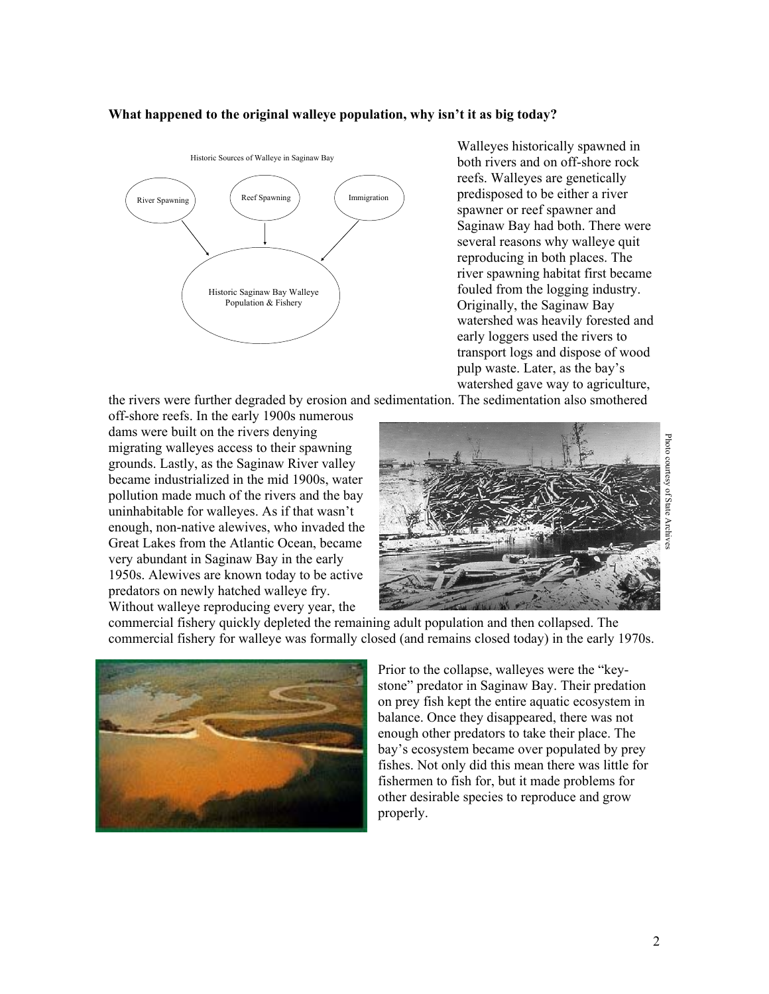#### **What happened to the original walleye population, why isn't it as big today?**



Walleyes historically spawned in both rivers and on off-shore rock reefs. Walleyes are genetically predisposed to be either a river spawner or reef spawner and Saginaw Bay had both. There were several reasons why walleye quit reproducing in both places. The river spawning habitat first became fouled from the logging industry. Originally, the Saginaw Bay watershed was heavily forested and early loggers used the rivers to transport logs and dispose of wood pulp waste. Later, as the bay's watershed gave way to agriculture,

the rivers were further degraded by erosion and sedimentation. The sedimentation also smothered

off-shore reefs. In the early 1900s numerous dams were built on the rivers denying migrating walleyes access to their spawning grounds. Lastly, as the Saginaw River valley became industrialized in the mid 1900s, water pollution made much of the rivers and the bay uninhabitable for walleyes. As if that wasn't enough, non-native alewives, who invaded the Great Lakes from the Atlantic Ocean, became very abundant in Saginaw Bay in the early 1950s. Alewives are known today to be active predators on newly hatched walleye fry. Without walleye reproducing every year, the



commercial fishery quickly depleted the remaining adult population and then collapsed. The commercial fishery for walleye was formally closed (and remains closed today) in the early 1970s.



Prior to the collapse, walleyes were the "keystone" predator in Saginaw Bay. Their predation on prey fish kept the entire aquatic ecosystem in balance. Once they disappeared, there was not enough other predators to take their place. The bay's ecosystem became over populated by prey fishes. Not only did this mean there was little for fishermen to fish for, but it made problems for other desirable species to reproduce and grow properly.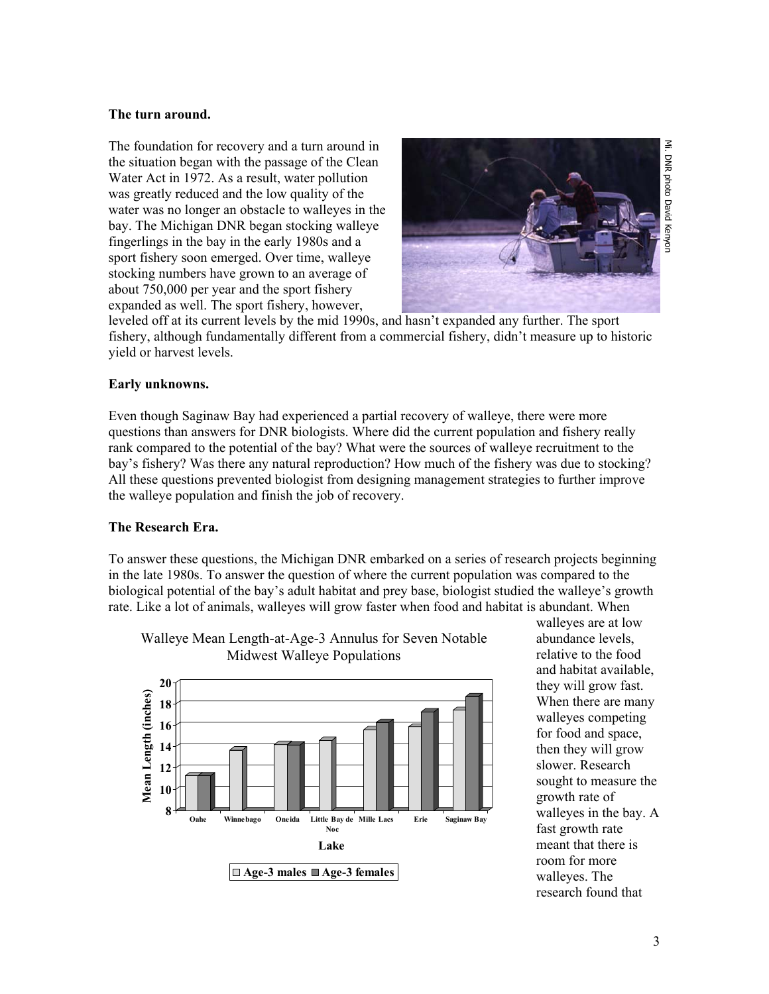#### **The turn around.**

The foundation for recovery and a turn around in the situation began with the passage of the Clean Water Act in 1972. As a result, water pollution was greatly reduced and the low quality of the water was no longer an obstacle to walleyes in the bay. The Michigan DNR began stocking walleye fingerlings in the bay in the early 1980s and a sport fishery soon emerged. Over time, walleye stocking numbers have grown to an average of about 750,000 per year and the sport fishery expanded as well. The sport fishery, however,



leveled off at its current levels by the mid 1990s, and hasn't expanded any further. The sport fishery, although fundamentally different from a commercial fishery, didn't measure up to historic yield or harvest levels.

## **Early unknowns.**

Even though Saginaw Bay had experienced a partial recovery of walleye, there were more questions than answers for DNR biologists. Where did the current population and fishery really rank compared to the potential of the bay? What were the sources of walleye recruitment to the bay's fishery? Was there any natural reproduction? How much of the fishery was due to stocking? All these questions prevented biologist from designing management strategies to further improve the walleye population and finish the job of recovery.

#### **The Research Era.**

To answer these questions, the Michigan DNR embarked on a series of research projects beginning in the late 1980s. To answer the question of where the current population was compared to the biological potential of the bay's adult habitat and prey base, biologist studied the walleye's growth rate. Like a lot of animals, walleyes will grow faster when food and habitat is abundant. When



Walleye Mean Length-at-Age-3 Annulus for Seven Notable Midwest Walleye Populations

walleyes are at low abundance levels, relative to the food and habitat available, they will grow fast. When there are many walleyes competing for food and space, then they will grow slower. Research sought to measure the growth rate of walleyes in the bay. A fast growth rate meant that there is room for more walleyes. The research found that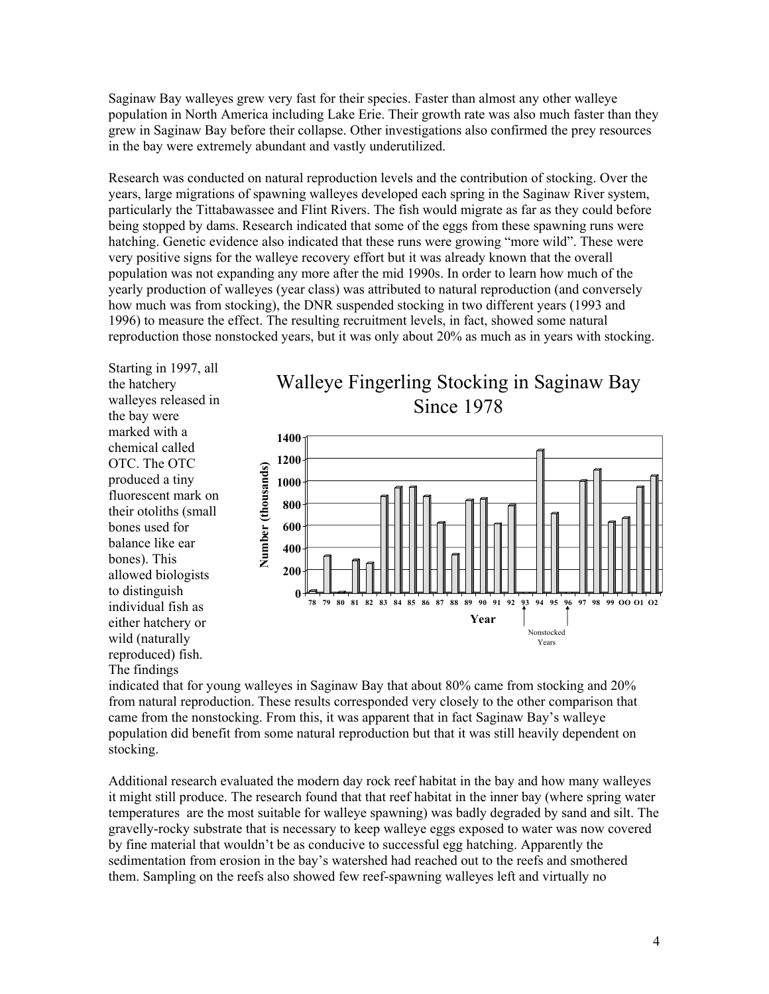Saginaw Bay walleyes grew very fast for their species. Faster than almost any other walleye population in North America including Lake Erie. Their growth rate was also much faster than they grew in Saginaw Bay before their collapse. Other investigations also confirmed the prey resources in the bay were extremely abundant and vastly underutilized.

Research was conducted on natural reproduction levels and the contribution of stocking. Over the years, large migrations of spawning walleyes developed each spring in the Saginaw River system, particularly the Tittabawassee and Flint Rivers. The fish would migrate as far as they could before being stopped by dams. Research indicated that some of the eggs from these spawning runs were hatching. Genetic evidence also indicated that these runs were growing "more wild". These were very positive signs for the walleye recovery effort but it was already known that the overall population was not expanding any more after the mid 1990s. In order to learn how much of the yearly production of walleyes (year class) was attributed to natural reproduction (and conversely how much was from stocking), the DNR suspended stocking in two different years (1993 and 1996) to measure the effect. The resulting recruitment levels, in fact, showed some natural reproduction those nonstocked years, but it was only about 20% as much as in years with stocking.

Starting in 1997, all the hatchery walleyes released in the bay were marked with a chemical called OTC. The OTC produced a tiny fluorescent mark on their otoliths (small bones used for balance like ear bones). This allowed biologists to distinguish individual fish as either hatchery or wild (naturally reproduced) fish. The findings





indicated that for young walleyes in Saginaw Bay that about 80% came from stocking and 20% from natural reproduction. These results corresponded very closely to the other comparison that came from the nonstocking. From this, it was apparent that in fact Saginaw Bay's walleye population did benefit from some natural reproduction but that it was still heavily dependent on stocking.

Additional research evaluated the modern day rock reef habitat in the bay and how many walleyes it might still produce. The research found that that reef habitat in the inner bay (where spring water temperatures are the most suitable for walleye spawning) was badly degraded by sand and silt. The gravelly-rocky substrate that is necessary to keep walleye eggs exposed to water was now covered by fine material that wouldn't be as conducive to successful egg hatching. Apparently the sedimentation from erosion in the bay's watershed had reached out to the reefs and smothered them. Sampling on the reefs also showed few reef-spawning walleyes left and virtually no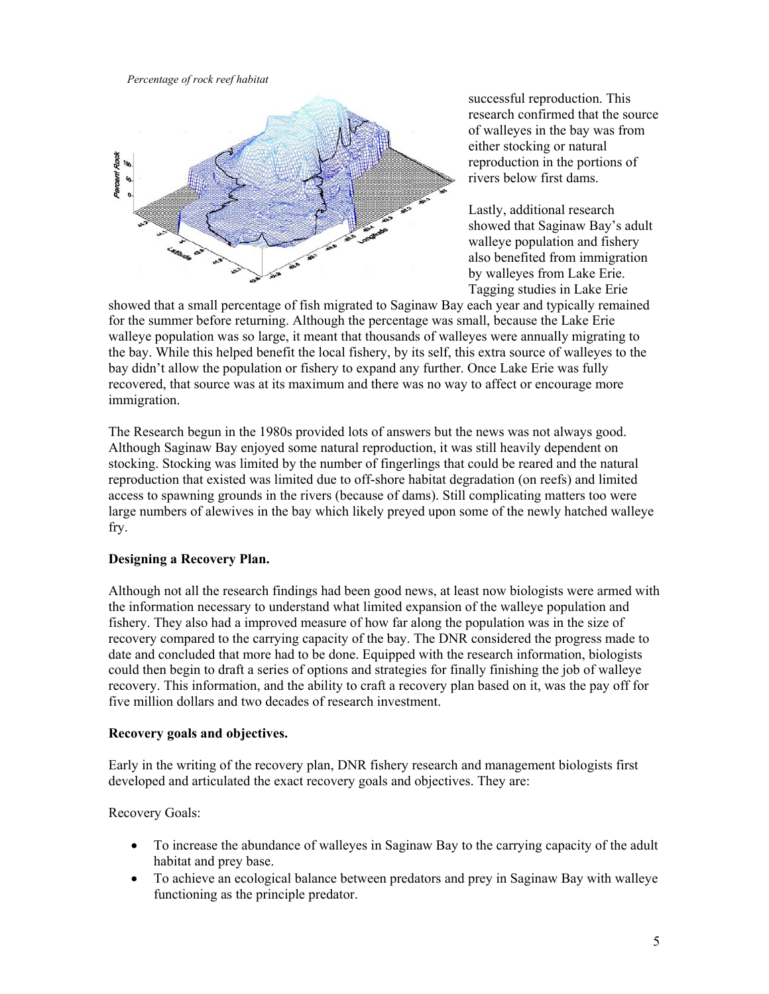*Percentage of rock reef habitat* 



successful reproduction. This research confirmed that the source of walleyes in the bay was from either stocking or natural reproduction in the portions of rivers below first dams.

Lastly, additional research showed that Saginaw Bay's adult walleye population and fishery also benefited from immigration by walleyes from Lake Erie. Tagging studies in Lake Erie

showed that a small percentage of fish migrated to Saginaw Bay each year and typically remained for the summer before returning. Although the percentage was small, because the Lake Erie walleye population was so large, it meant that thousands of walleyes were annually migrating to the bay. While this helped benefit the local fishery, by its self, this extra source of walleyes to the bay didn't allow the population or fishery to expand any further. Once Lake Erie was fully recovered, that source was at its maximum and there was no way to affect or encourage more immigration.

The Research begun in the 1980s provided lots of answers but the news was not always good. Although Saginaw Bay enjoyed some natural reproduction, it was still heavily dependent on stocking. Stocking was limited by the number of fingerlings that could be reared and the natural reproduction that existed was limited due to off-shore habitat degradation (on reefs) and limited access to spawning grounds in the rivers (because of dams). Still complicating matters too were large numbers of alewives in the bay which likely preyed upon some of the newly hatched walleye fry.

# **Designing a Recovery Plan.**

Although not all the research findings had been good news, at least now biologists were armed with the information necessary to understand what limited expansion of the walleye population and fishery. They also had a improved measure of how far along the population was in the size of recovery compared to the carrying capacity of the bay. The DNR considered the progress made to date and concluded that more had to be done. Equipped with the research information, biologists could then begin to draft a series of options and strategies for finally finishing the job of walleye recovery. This information, and the ability to craft a recovery plan based on it, was the pay off for five million dollars and two decades of research investment.

## **Recovery goals and objectives.**

Early in the writing of the recovery plan, DNR fishery research and management biologists first developed and articulated the exact recovery goals and objectives. They are:

Recovery Goals:

- To increase the abundance of walleyes in Saginaw Bay to the carrying capacity of the adult habitat and prey base.
- To achieve an ecological balance between predators and prey in Saginaw Bay with walleye functioning as the principle predator.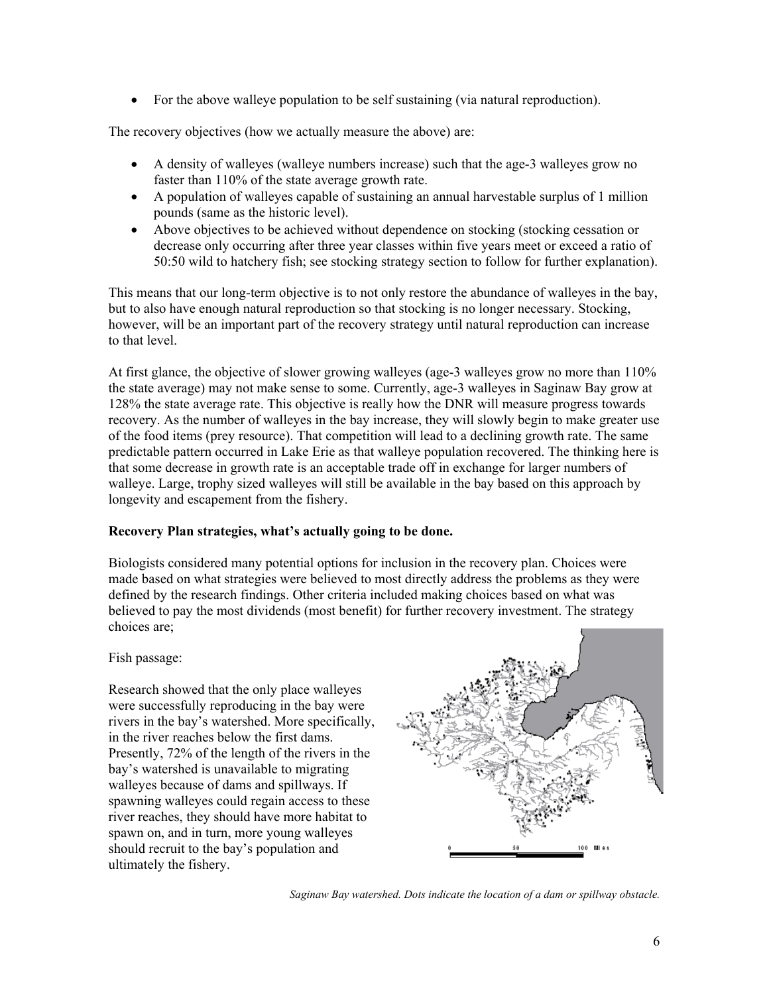• For the above walleye population to be self sustaining (via natural reproduction).

The recovery objectives (how we actually measure the above) are:

- A density of walleyes (walleye numbers increase) such that the age-3 walleyes grow no faster than 110% of the state average growth rate.
- A population of walleyes capable of sustaining an annual harvestable surplus of 1 million pounds (same as the historic level).
- Above objectives to be achieved without dependence on stocking (stocking cessation or decrease only occurring after three year classes within five years meet or exceed a ratio of 50:50 wild to hatchery fish; see stocking strategy section to follow for further explanation).

This means that our long-term objective is to not only restore the abundance of walleyes in the bay, but to also have enough natural reproduction so that stocking is no longer necessary. Stocking, however, will be an important part of the recovery strategy until natural reproduction can increase to that level.

At first glance, the objective of slower growing walleyes (age-3 walleyes grow no more than 110% the state average) may not make sense to some. Currently, age-3 walleyes in Saginaw Bay grow at 128% the state average rate. This objective is really how the DNR will measure progress towards recovery. As the number of walleyes in the bay increase, they will slowly begin to make greater use of the food items (prey resource). That competition will lead to a declining growth rate. The same predictable pattern occurred in Lake Erie as that walleye population recovered. The thinking here is that some decrease in growth rate is an acceptable trade off in exchange for larger numbers of walleye. Large, trophy sized walleyes will still be available in the bay based on this approach by longevity and escapement from the fishery.

# **Recovery Plan strategies, what's actually going to be done.**

Biologists considered many potential options for inclusion in the recovery plan. Choices were made based on what strategies were believed to most directly address the problems as they were defined by the research findings. Other criteria included making choices based on what was believed to pay the most dividends (most benefit) for further recovery investment. The strategy choices are;

Fish passage:

Research showed that the only place walleyes were successfully reproducing in the bay were rivers in the bay's watershed. More specifically, in the river reaches below the first dams. Presently, 72% of the length of the rivers in the bay's watershed is unavailable to migrating walleyes because of dams and spillways. If spawning walleyes could regain access to these river reaches, they should have more habitat to spawn on, and in turn, more young walleyes should recruit to the bay's population and ultimately the fishery.



*Saginaw Bay watershed. Dots indicate the location of a dam or spillway obstacle.*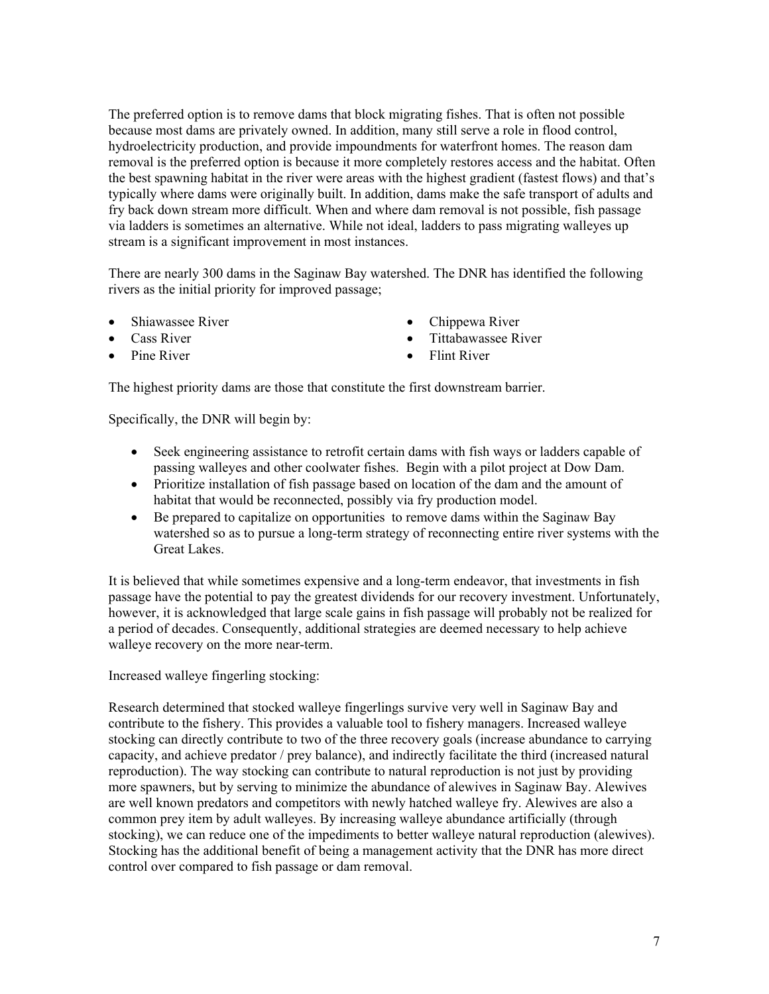The preferred option is to remove dams that block migrating fishes. That is often not possible because most dams are privately owned. In addition, many still serve a role in flood control, hydroelectricity production, and provide impoundments for waterfront homes. The reason dam removal is the preferred option is because it more completely restores access and the habitat. Often the best spawning habitat in the river were areas with the highest gradient (fastest flows) and that's typically where dams were originally built. In addition, dams make the safe transport of adults and fry back down stream more difficult. When and where dam removal is not possible, fish passage via ladders is sometimes an alternative. While not ideal, ladders to pass migrating walleyes up stream is a significant improvement in most instances.

There are nearly 300 dams in the Saginaw Bay watershed. The DNR has identified the following rivers as the initial priority for improved passage;

- Shiawassee River
- Cass River
- Pine River
- Chippewa River
- Tittabawassee River
- Flint River

The highest priority dams are those that constitute the first downstream barrier.

Specifically, the DNR will begin by:

- Seek engineering assistance to retrofit certain dams with fish ways or ladders capable of passing walleyes and other coolwater fishes. Begin with a pilot project at Dow Dam.
- Prioritize installation of fish passage based on location of the dam and the amount of habitat that would be reconnected, possibly via fry production model.
- Be prepared to capitalize on opportunities to remove dams within the Saginaw Bay watershed so as to pursue a long-term strategy of reconnecting entire river systems with the Great Lakes.

It is believed that while sometimes expensive and a long-term endeavor, that investments in fish passage have the potential to pay the greatest dividends for our recovery investment. Unfortunately, however, it is acknowledged that large scale gains in fish passage will probably not be realized for a period of decades. Consequently, additional strategies are deemed necessary to help achieve walleye recovery on the more near-term.

Increased walleye fingerling stocking:

Research determined that stocked walleye fingerlings survive very well in Saginaw Bay and contribute to the fishery. This provides a valuable tool to fishery managers. Increased walleye stocking can directly contribute to two of the three recovery goals (increase abundance to carrying capacity, and achieve predator / prey balance), and indirectly facilitate the third (increased natural reproduction). The way stocking can contribute to natural reproduction is not just by providing more spawners, but by serving to minimize the abundance of alewives in Saginaw Bay. Alewives are well known predators and competitors with newly hatched walleye fry. Alewives are also a common prey item by adult walleyes. By increasing walleye abundance artificially (through stocking), we can reduce one of the impediments to better walleye natural reproduction (alewives). Stocking has the additional benefit of being a management activity that the DNR has more direct control over compared to fish passage or dam removal.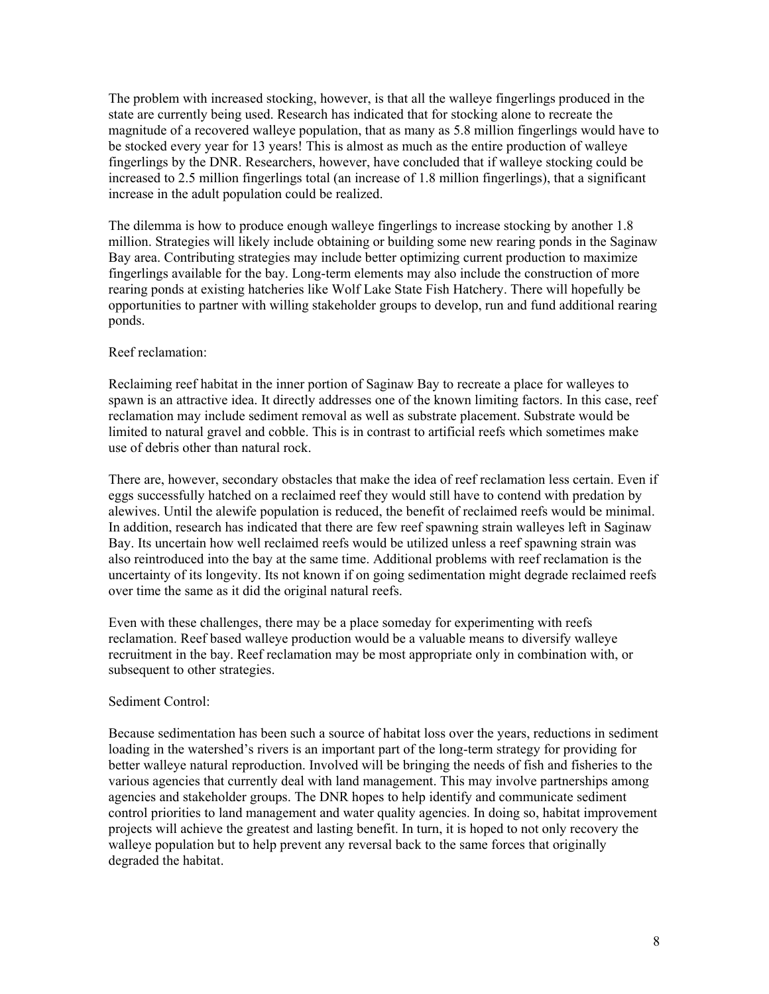The problem with increased stocking, however, is that all the walleye fingerlings produced in the state are currently being used. Research has indicated that for stocking alone to recreate the magnitude of a recovered walleye population, that as many as 5.8 million fingerlings would have to be stocked every year for 13 years! This is almost as much as the entire production of walleye fingerlings by the DNR. Researchers, however, have concluded that if walleye stocking could be increased to 2.5 million fingerlings total (an increase of 1.8 million fingerlings), that a significant increase in the adult population could be realized.

The dilemma is how to produce enough walleye fingerlings to increase stocking by another 1.8 million. Strategies will likely include obtaining or building some new rearing ponds in the Saginaw Bay area. Contributing strategies may include better optimizing current production to maximize fingerlings available for the bay. Long-term elements may also include the construction of more rearing ponds at existing hatcheries like Wolf Lake State Fish Hatchery. There will hopefully be opportunities to partner with willing stakeholder groups to develop, run and fund additional rearing ponds.

## Reef reclamation:

Reclaiming reef habitat in the inner portion of Saginaw Bay to recreate a place for walleyes to spawn is an attractive idea. It directly addresses one of the known limiting factors. In this case, reef reclamation may include sediment removal as well as substrate placement. Substrate would be limited to natural gravel and cobble. This is in contrast to artificial reefs which sometimes make use of debris other than natural rock.

There are, however, secondary obstacles that make the idea of reef reclamation less certain. Even if eggs successfully hatched on a reclaimed reef they would still have to contend with predation by alewives. Until the alewife population is reduced, the benefit of reclaimed reefs would be minimal. In addition, research has indicated that there are few reef spawning strain walleyes left in Saginaw Bay. Its uncertain how well reclaimed reefs would be utilized unless a reef spawning strain was also reintroduced into the bay at the same time. Additional problems with reef reclamation is the uncertainty of its longevity. Its not known if on going sedimentation might degrade reclaimed reefs over time the same as it did the original natural reefs.

Even with these challenges, there may be a place someday for experimenting with reefs reclamation. Reef based walleye production would be a valuable means to diversify walleye recruitment in the bay. Reef reclamation may be most appropriate only in combination with, or subsequent to other strategies.

## Sediment Control:

Because sedimentation has been such a source of habitat loss over the years, reductions in sediment loading in the watershed's rivers is an important part of the long-term strategy for providing for better walleye natural reproduction. Involved will be bringing the needs of fish and fisheries to the various agencies that currently deal with land management. This may involve partnerships among agencies and stakeholder groups. The DNR hopes to help identify and communicate sediment control priorities to land management and water quality agencies. In doing so, habitat improvement projects will achieve the greatest and lasting benefit. In turn, it is hoped to not only recovery the walleye population but to help prevent any reversal back to the same forces that originally degraded the habitat.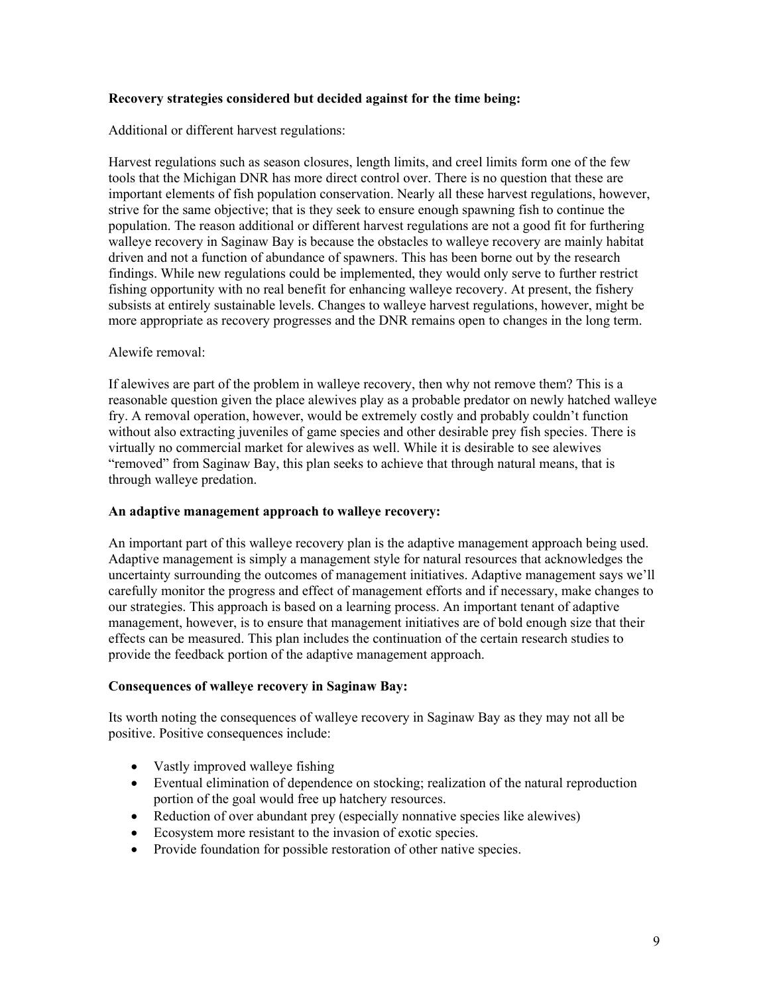## **Recovery strategies considered but decided against for the time being:**

Additional or different harvest regulations:

Harvest regulations such as season closures, length limits, and creel limits form one of the few tools that the Michigan DNR has more direct control over. There is no question that these are important elements of fish population conservation. Nearly all these harvest regulations, however, strive for the same objective; that is they seek to ensure enough spawning fish to continue the population. The reason additional or different harvest regulations are not a good fit for furthering walleye recovery in Saginaw Bay is because the obstacles to walleye recovery are mainly habitat driven and not a function of abundance of spawners. This has been borne out by the research findings. While new regulations could be implemented, they would only serve to further restrict fishing opportunity with no real benefit for enhancing walleye recovery. At present, the fishery subsists at entirely sustainable levels. Changes to walleye harvest regulations, however, might be more appropriate as recovery progresses and the DNR remains open to changes in the long term.

# Alewife removal:

If alewives are part of the problem in walleye recovery, then why not remove them? This is a reasonable question given the place alewives play as a probable predator on newly hatched walleye fry. A removal operation, however, would be extremely costly and probably couldn't function without also extracting juveniles of game species and other desirable prey fish species. There is virtually no commercial market for alewives as well. While it is desirable to see alewives "removed" from Saginaw Bay, this plan seeks to achieve that through natural means, that is through walleye predation.

## **An adaptive management approach to walleye recovery:**

An important part of this walleye recovery plan is the adaptive management approach being used. Adaptive management is simply a management style for natural resources that acknowledges the uncertainty surrounding the outcomes of management initiatives. Adaptive management says we'll carefully monitor the progress and effect of management efforts and if necessary, make changes to our strategies. This approach is based on a learning process. An important tenant of adaptive management, however, is to ensure that management initiatives are of bold enough size that their effects can be measured. This plan includes the continuation of the certain research studies to provide the feedback portion of the adaptive management approach.

## **Consequences of walleye recovery in Saginaw Bay:**

Its worth noting the consequences of walleye recovery in Saginaw Bay as they may not all be positive. Positive consequences include:

- Vastly improved walleye fishing
- Eventual elimination of dependence on stocking; realization of the natural reproduction portion of the goal would free up hatchery resources.
- Reduction of over abundant prey (especially nonnative species like alewives)
- Ecosystem more resistant to the invasion of exotic species.
- Provide foundation for possible restoration of other native species.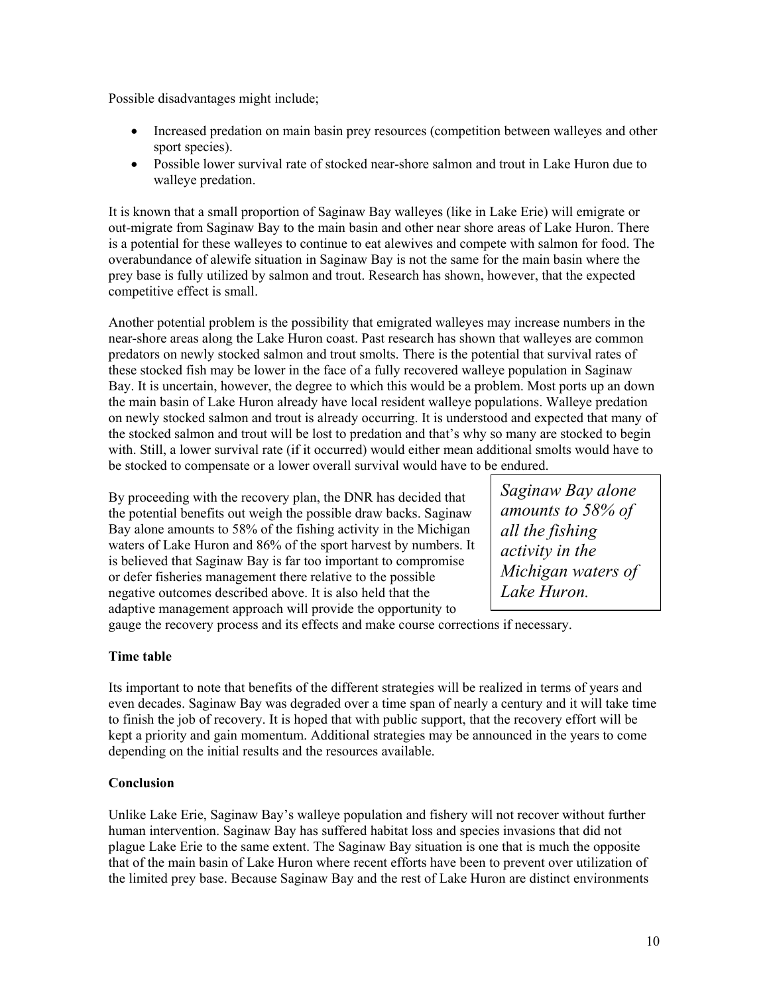Possible disadvantages might include;

- Increased predation on main basin prey resources (competition between walleyes and other sport species).
- Possible lower survival rate of stocked near-shore salmon and trout in Lake Huron due to walleye predation.

It is known that a small proportion of Saginaw Bay walleyes (like in Lake Erie) will emigrate or out-migrate from Saginaw Bay to the main basin and other near shore areas of Lake Huron. There is a potential for these walleyes to continue to eat alewives and compete with salmon for food. The overabundance of alewife situation in Saginaw Bay is not the same for the main basin where the prey base is fully utilized by salmon and trout. Research has shown, however, that the expected competitive effect is small.

Another potential problem is the possibility that emigrated walleyes may increase numbers in the near-shore areas along the Lake Huron coast. Past research has shown that walleyes are common predators on newly stocked salmon and trout smolts. There is the potential that survival rates of these stocked fish may be lower in the face of a fully recovered walleye population in Saginaw Bay. It is uncertain, however, the degree to which this would be a problem. Most ports up an down the main basin of Lake Huron already have local resident walleye populations. Walleye predation on newly stocked salmon and trout is already occurring. It is understood and expected that many of the stocked salmon and trout will be lost to predation and that's why so many are stocked to begin with. Still, a lower survival rate (if it occurred) would either mean additional smolts would have to be stocked to compensate or a lower overall survival would have to be endured.

By proceeding with the recovery plan, the DNR has decided that the potential benefits out weigh the possible draw backs. Saginaw Bay alone amounts to 58% of the fishing activity in the Michigan waters of Lake Huron and 86% of the sport harvest by numbers. It is believed that Saginaw Bay is far too important to compromise or defer fisheries management there relative to the possible negative outcomes described above. It is also held that the adaptive management approach will provide the opportunity to

*Saginaw Bay alone amounts to 58% of all the fishing activity in the Michigan waters of Lake Huron.* 

gauge the recovery process and its effects and make course corrections if necessary.

## **Time table**

Its important to note that benefits of the different strategies will be realized in terms of years and even decades. Saginaw Bay was degraded over a time span of nearly a century and it will take time to finish the job of recovery. It is hoped that with public support, that the recovery effort will be kept a priority and gain momentum. Additional strategies may be announced in the years to come depending on the initial results and the resources available.

## **Conclusion**

Unlike Lake Erie, Saginaw Bay's walleye population and fishery will not recover without further human intervention. Saginaw Bay has suffered habitat loss and species invasions that did not plague Lake Erie to the same extent. The Saginaw Bay situation is one that is much the opposite that of the main basin of Lake Huron where recent efforts have been to prevent over utilization of the limited prey base. Because Saginaw Bay and the rest of Lake Huron are distinct environments